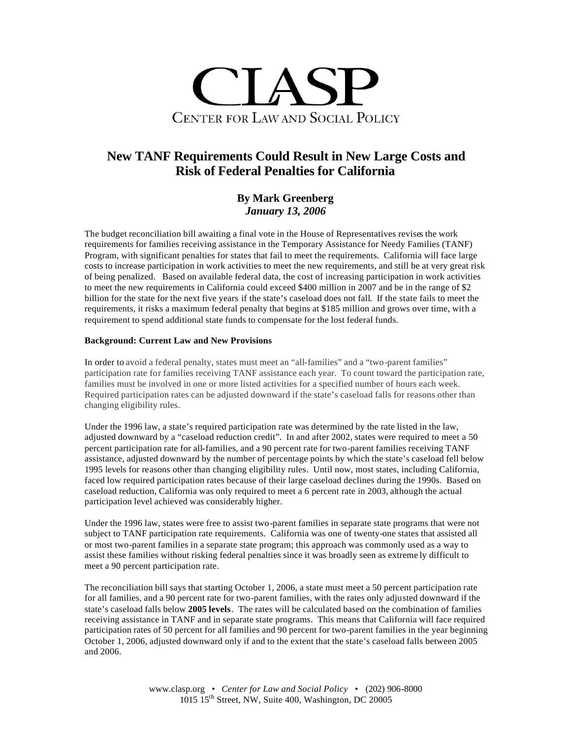

# **New TANF Requirements Could Result in New Large Costs and Risk of Federal Penalties for California**

# **By Mark Greenberg** *January 13, 2006*

The budget reconciliation bill awaiting a final vote in the House of Representatives revises the work requirements for families receiving assistance in the Temporary Assistance for Needy Families (TANF) Program, with significant penalties for states that fail to meet the requirements. California will face large costs to increase participation in work activities to meet the new requirements, and still be at very great risk of being penalized. Based on available federal data, the cost of increasing participation in work activities to meet the new requirements in California could exceed \$400 million in 2007 and be in the range of \$2 billion for the state for the next five years if the state's caseload does not fall. If the state fails to meet the requirements, it risks a maximum federal penalty that begins at \$185 million and grows over time, with a requirement to spend additional state funds to compensate for the lost federal funds.

# **Background: Current Law and New Provisions**

In order to avoid a federal penalty, states must meet an "all-families" and a "two-parent families" participation rate for families receiving TANF assistance each year. To count toward the participation rate, families must be involved in one or more listed activities for a specified number of hours each week. Required participation rates can be adjusted downward if the state's caseload falls for reasons other than changing eligibility rules.

Under the 1996 law, a state's required participation rate was determined by the rate listed in the law, adjusted downward by a "caseload reduction credit". In and after 2002, states were required to meet a 50 percent participation rate for all-families, and a 90 percent rate for two-parent families receiving TANF assistance, adjusted downward by the number of percentage points by which the state's caseload fell below 1995 levels for reasons other than changing eligibility rules. Until now, most states, including California, faced low required participation rates because of their large caseload declines during the 1990s. Based on caseload reduction, California was only required to meet a 6 percent rate in 2003, although the actual participation level achieved was considerably higher.

Under the 1996 law, states were free to assist two-parent families in separate state programs that were not subject to TANF participation rate requirements. California was one of twenty-one states that assisted all or most two-parent families in a separate state program; this approach was commonly used as a way to assist these families without risking federal penalties since it was broadly seen as extreme ly difficult to meet a 90 percent participation rate.

The reconciliation bill says that starting October 1, 2006, a state must meet a 50 percent participation rate for all families, and a 90 percent rate for two-parent families, with the rates only adjusted downward if the state's caseload falls below **2005 levels**. The rates will be calculated based on the combination of families receiving assistance in TANF and in separate state programs. This means that California will face required participation rates of 50 percent for all families and 90 percent for two-parent families in the year beginning October 1, 2006, adjusted downward only if and to the extent that the state's caseload falls between 2005 and 2006.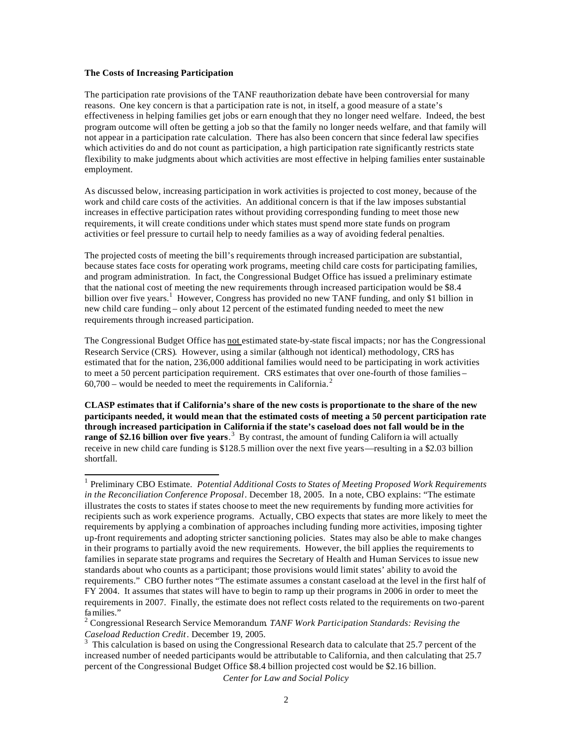#### **The Costs of Increasing Participation**

The participation rate provisions of the TANF reauthorization debate have been controversial for many reasons. One key concern is that a participation rate is not, in itself, a good measure of a state's effectiveness in helping families get jobs or earn enough that they no longer need welfare. Indeed, the best program outcome will often be getting a job so that the family no longer needs welfare, and that family will not appear in a participation rate calculation. There has also been concern that since federal law specifies which activities do and do not count as participation, a high participation rate significantly restricts state flexibility to make judgments about which activities are most effective in helping families enter sustainable employment.

As discussed below, increasing participation in work activities is projected to cost money, because of the work and child care costs of the activities. An additional concern is that if the law imposes substantial increases in effective participation rates without providing corresponding funding to meet those new requirements, it will create conditions under which states must spend more state funds on program activities or feel pressure to curtail help to needy families as a way of avoiding federal penalties.

The projected costs of meeting the bill's requirements through increased participation are substantial, because states face costs for operating work programs, meeting child care costs for participating families, and program administration. In fact, the Congressional Budget Office has issued a preliminary estimate that the national cost of meeting the new requirements through increased participation would be \$8.4 billion over five years.<sup>1</sup> However, Congress has provided no new TANF funding, and only \$1 billion in new child care funding – only about 12 percent of the estimated funding needed to meet the new requirements through increased participation.

The Congressional Budget Office has not estimated state-by-state fiscal impacts; nor has the Congressional Research Service (CRS). However, using a similar (although not identical) methodology, CRS has estimated that for the nation, 236,000 additional families would need to be participating in work activities to meet a 50 percent participation requirement. CRS estimates that over one-fourth of those families –  $60,700$  – would be needed to meet the requirements in California.<sup>2</sup>

**CLASP estimates that if California's share of the new costs is proportionate to the share of the new participants needed, it would mean that the estimated costs of meeting a 50 percent participation rate through increased participation in California if the state's caseload does not fall would be in the range of \$2.16 billion over five years**.<sup>3</sup> By contrast, the amount of funding Californ ia will actually receive in new child care funding is \$128.5 million over the next five years—resulting in a \$2.03 billion shortfall.

*Center for Law and Social Policy*

 1 Preliminary CBO Estimate. *Potential Additional Costs to States of Meeting Proposed Work Requirements in the Reconciliation Conference Proposal*. December 18, 2005. In a note, CBO explains: "The estimate illustrates the costs to states if states choose to meet the new requirements by funding more activities for recipients such as work experience programs. Actually, CBO expects that states are more likely to meet the requirements by applying a combination of approaches including funding more activities, imposing tighter up-front requirements and adopting stricter sanctioning policies. States may also be able to make changes in their programs to partially avoid the new requirements. However, the bill applies the requirements to families in separate state programs and requires the Secretary of Health and Human Services to issue new standards about who counts as a participant; those provisions would limit states' ability to avoid the requirements." CBO further notes "The estimate assumes a constant caseload at the level in the first half of FY 2004. It assumes that states will have to begin to ramp up their programs in 2006 in order to meet the requirements in 2007. Finally, the estimate does not reflect costs related to the requirements on two-parent families."

<sup>2</sup> Congressional Research Service Memorandum. *TANF Work Participation Standards: Revising the Caseload Reduction Credit*. December 19, 2005.

<sup>3</sup> This calculation is based on using the Congressional Research data to calculate that 25.7 percent of the increased number of needed participants would be attributable to California, and then calculating that 25.7 percent of the Congressional Budget Office \$8.4 billion projected cost would be \$2.16 billion.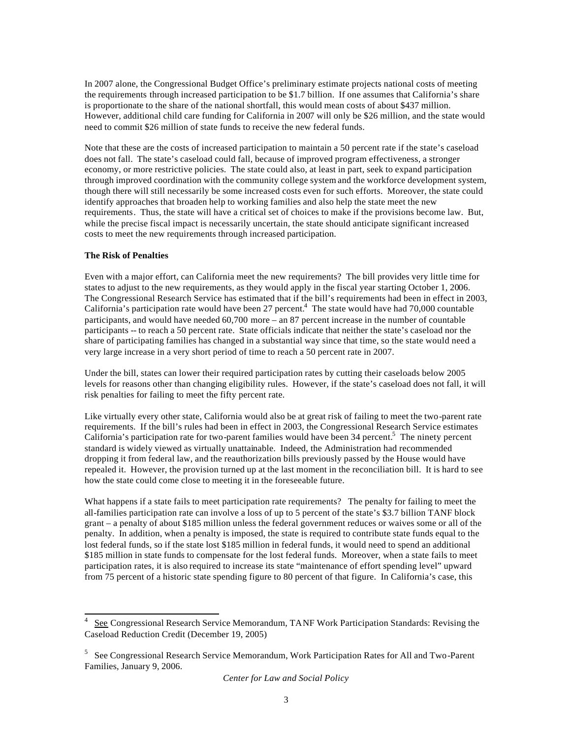In 2007 alone, the Congressional Budget Office's preliminary estimate projects national costs of meeting the requirements through increased participation to be \$1.7 billion. If one assumes that California's share is proportionate to the share of the national shortfall, this would mean costs of about \$437 million. However, additional child care funding for California in 2007 will only be \$26 million, and the state would need to commit \$26 million of state funds to receive the new federal funds.

Note that these are the costs of increased participation to maintain a 50 percent rate if the state's caseload does not fall. The state's caseload could fall, because of improved program effectiveness, a stronger economy, or more restrictive policies. The state could also, at least in part, seek to expand participation through improved coordination with the community college system and the workforce development system, though there will still necessarily be some increased costs even for such efforts. Moreover, the state could identify approaches that broaden help to working families and also help the state meet the new requirements. Thus, the state will have a critical set of choices to make if the provisions become law. But, while the precise fiscal impact is necessarily uncertain, the state should anticipate significant increased costs to meet the new requirements through increased participation.

### **The Risk of Penalties**

l

Even with a major effort, can California meet the new requirements? The bill provides very little time for states to adjust to the new requirements, as they would apply in the fiscal year starting October 1, 2006. The Congressional Research Service has estimated that if the bill's requirements had been in effect in 2003, California's participation rate would have been 27 percent.<sup>4</sup> The state would have had 70,000 countable participants, and would have needed 60,700 more – an 87 percent increase in the number of countable participants -- to reach a 50 percent rate. State officials indicate that neither the state's caseload nor the share of participating families has changed in a substantial way since that time, so the state would need a very large increase in a very short period of time to reach a 50 percent rate in 2007.

Under the bill, states can lower their required participation rates by cutting their caseloads below 2005 levels for reasons other than changing eligibility rules. However, if the state's caseload does not fall, it will risk penalties for failing to meet the fifty percent rate.

Like virtually every other state, California would also be at great risk of failing to meet the two-parent rate requirements. If the bill's rules had been in effect in 2003, the Congressional Research Service estimates California's participation rate for two-parent families would have been 34 percent.<sup>5</sup> The ninety percent standard is widely viewed as virtually unattainable. Indeed, the Administration had recommended dropping it from federal law, and the reauthorization bills previously passed by the House would have repealed it. However, the provision turned up at the last moment in the reconciliation bill. It is hard to see how the state could come close to meeting it in the foreseeable future.

What happens if a state fails to meet participation rate requirements? The penalty for failing to meet the all-families participation rate can involve a loss of up to 5 percent of the state's \$3.7 billion TANF block grant – a penalty of about \$185 million unless the federal government reduces or waives some or all of the penalty. In addition, when a penalty is imposed, the state is required to contribute state funds equal to the lost federal funds, so if the state lost \$185 million in federal funds, it would need to spend an additional \$185 million in state funds to compensate for the lost federal funds. Moreover, when a state fails to meet participation rates, it is also required to increase its state "maintenance of effort spending level" upward from 75 percent of a historic state spending figure to 80 percent of that figure. In California's case, this

<sup>4</sup> See Congressional Research Service Memorandum, TANF Work Participation Standards: Revising the Caseload Reduction Credit (December 19, 2005)

<sup>&</sup>lt;sup>5</sup> See Congressional Research Service Memorandum, Work Participation Rates for All and Two-Parent Families, January 9, 2006.